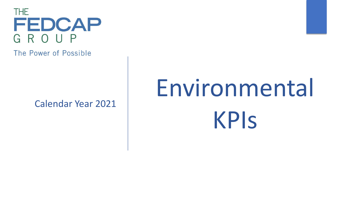

The Power of Possible

Calendar Year 2021

# Environmental KPIs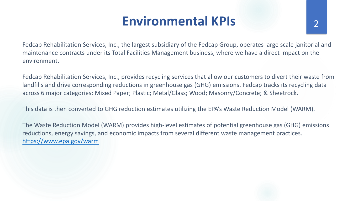# **Environmental KPIs** 2

Fedcap Rehabilitation Services, Inc., the largest subsidiary of the Fedcap Group, operates large scale janitorial and maintenance contracts under its Total Facilities Management business, where we have a direct impact on the environment.

Fedcap Rehabilitation Services, Inc., provides recycling services that allow our customers to divert their waste from landfills and drive corresponding reductions in greenhouse gas (GHG) emissions. Fedcap tracks its recycling data across 6 major categories: Mixed Paper; Plastic; Metal/Glass; Wood; Masonry/Concrete; & Sheetrock.

This data is then converted to GHG reduction estimates utilizing the EPA's Waste Reduction Model (WARM).

The Waste Reduction Model (WARM) provides high-level estimates of potential greenhouse gas (GHG) emissions reductions, energy savings, and economic impacts from several different waste management practices. <https://www.epa.gov/warm>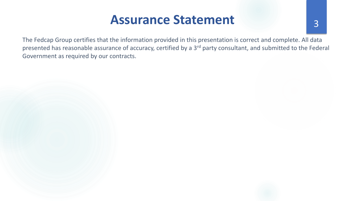#### Assurance Statement 3

The Fedcap Group certifies that the information provided in this presentation is correct and complete. All data presented has reasonable assurance of accuracy, certified by a 3<sup>rd</sup> party consultant, and submitted to the Federal Government as required by our contracts.

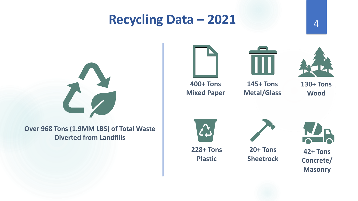# **Recycling Data – 2021** <sup>4</sup>

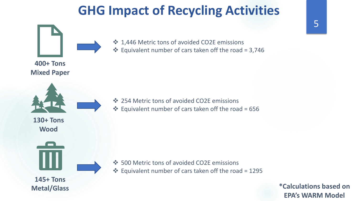# **GHG Impact of Recycling Activities**



❖ Equivalent number of cars taken off the road = 3,746

- ❖ 254 Metric tons of avoided CO2E emissions
- ❖ Equivalent number of cars taken off the road = 656

- ❖ 500 Metric tons of avoided CO2E emissions
- ❖ Equivalent number of cars taken off the road = 1295

**\*Calculations based on EPA's WARM Model**

5

**400+ Tons Mixed Paper** 

**130+ Tons Wood** 



**Metal/Glass**

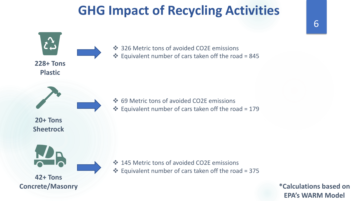# **GHG Impact of Recycling Activities**



**\*Calculations based on EPA's WARM Model**